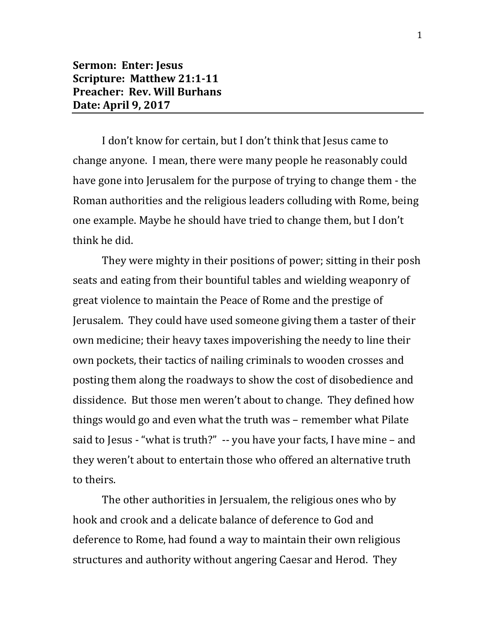## **Sermon: Enter: Jesus Scripture: Matthew 21:1-11 Preacher: Rev. Will Burhans Date: April 9, 2017**

I don't know for certain, but I don't think that Jesus came to change anyone. I mean, there were many people he reasonably could have gone into Jerusalem for the purpose of trying to change them - the Roman authorities and the religious leaders colluding with Rome, being one example. Maybe he should have tried to change them, but I don't think he did.

They were mighty in their positions of power; sitting in their posh seats and eating from their bountiful tables and wielding weaponry of great violence to maintain the Peace of Rome and the prestige of Jerusalem. They could have used someone giving them a taster of their own medicine; their heavy taxes impoverishing the needy to line their own pockets, their tactics of nailing criminals to wooden crosses and posting them along the roadways to show the cost of disobedience and dissidence. But those men weren't about to change. They defined how things would go and even what the truth was – remember what Pilate said to Jesus - "what is truth?" -- you have your facts, I have mine – and they weren't about to entertain those who offered an alternative truth to theirs.

The other authorities in Jersualem, the religious ones who by hook and crook and a delicate balance of deference to God and deference to Rome, had found a way to maintain their own religious structures and authority without angering Caesar and Herod. They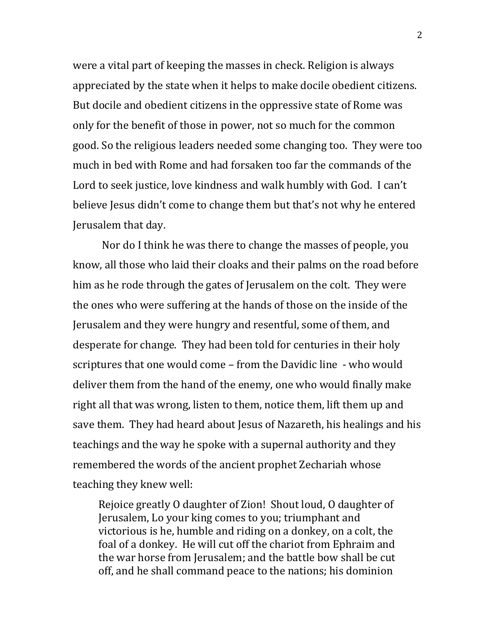were a vital part of keeping the masses in check. Religion is always appreciated by the state when it helps to make docile obedient citizens. But docile and obedient citizens in the oppressive state of Rome was only for the benefit of those in power, not so much for the common good. So the religious leaders needed some changing too. They were too much in bed with Rome and had forsaken too far the commands of the Lord to seek justice, love kindness and walk humbly with God. I can't believe Jesus didn't come to change them but that's not why he entered Jerusalem that day.

Nor do I think he was there to change the masses of people, you know, all those who laid their cloaks and their palms on the road before him as he rode through the gates of Jerusalem on the colt. They were the ones who were suffering at the hands of those on the inside of the Jerusalem and they were hungry and resentful, some of them, and desperate for change. They had been told for centuries in their holy scriptures that one would come – from the Davidic line - who would deliver them from the hand of the enemy, one who would finally make right all that was wrong, listen to them, notice them, lift them up and save them. They had heard about Jesus of Nazareth, his healings and his teachings and the way he spoke with a supernal authority and they remembered the words of the ancient prophet Zechariah whose teaching they knew well:

Rejoice greatly O daughter of Zion! Shout loud, O daughter of Jerusalem, Lo your king comes to you; triumphant and victorious is he, humble and riding on a donkey, on a colt, the foal of a donkey. He will cut off the chariot from Ephraim and the war horse from Jerusalem; and the battle bow shall be cut off, and he shall command peace to the nations; his dominion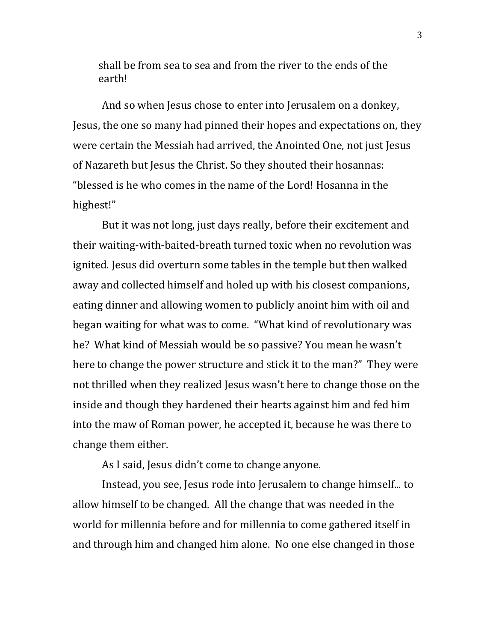shall be from sea to sea and from the river to the ends of the earth!

And so when Jesus chose to enter into Jerusalem on a donkey, Jesus, the one so many had pinned their hopes and expectations on, they were certain the Messiah had arrived, the Anointed One, not just Jesus of Nazareth but Jesus the Christ. So they shouted their hosannas: "blessed is he who comes in the name of the Lord! Hosanna in the highest!"

But it was not long, just days really, before their excitement and their waiting-with-baited-breath turned toxic when no revolution was ignited. Jesus did overturn some tables in the temple but then walked away and collected himself and holed up with his closest companions, eating dinner and allowing women to publicly anoint him with oil and began waiting for what was to come. "What kind of revolutionary was he? What kind of Messiah would be so passive? You mean he wasn't here to change the power structure and stick it to the man?" They were not thrilled when they realized Jesus wasn't here to change those on the inside and though they hardened their hearts against him and fed him into the maw of Roman power, he accepted it, because he was there to change them either.

As I said, Jesus didn't come to change anyone.

Instead, you see, Jesus rode into Jerusalem to change himself... to allow himself to be changed. All the change that was needed in the world for millennia before and for millennia to come gathered itself in and through him and changed him alone. No one else changed in those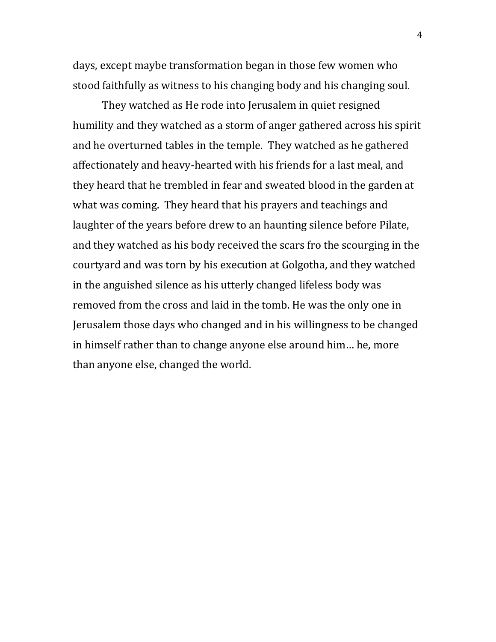days, except maybe transformation began in those few women who stood faithfully as witness to his changing body and his changing soul.

They watched as He rode into Jerusalem in quiet resigned humility and they watched as a storm of anger gathered across his spirit and he overturned tables in the temple. They watched as he gathered affectionately and heavy-hearted with his friends for a last meal, and they heard that he trembled in fear and sweated blood in the garden at what was coming. They heard that his prayers and teachings and laughter of the years before drew to an haunting silence before Pilate, and they watched as his body received the scars fro the scourging in the courtyard and was torn by his execution at Golgotha, and they watched in the anguished silence as his utterly changed lifeless body was removed from the cross and laid in the tomb. He was the only one in Jerusalem those days who changed and in his willingness to be changed in himself rather than to change anyone else around him… he, more than anyone else, changed the world.